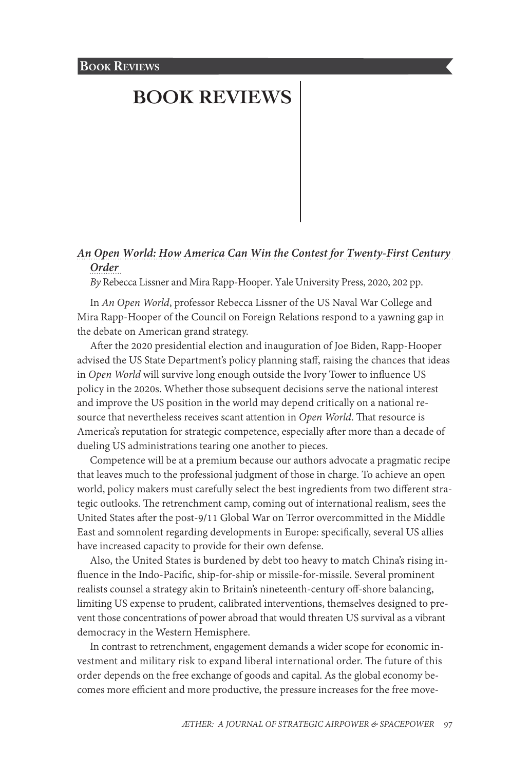# *[An Open World: How America Can Win the Contest for Twenty-First Century](#page-1-0)  [Order](#page-1-0)*

*By* Rebecca Lissner and Mira Rapp-Hooper. Yale University Press, 2020, 202 pp.

In *An Open World*, professor Rebecca Lissner of the US Naval War College and Mira Rapp-Hooper of the Council on Foreign Relations respond to a yawning gap in the debate on American grand strategy.

After the 2020 presidential election and inauguration of Joe Biden, Rapp-Hooper advised the US State Department's policy planning staff, raising the chances that ideas in *Open World* will survive long enough outside the Ivory Tower to influence US policy in the 2020s. Whether those subsequent decisions serve the national interest and improve the US position in the world may depend critically on a national resource that nevertheless receives scant attention in *Open World*. That resource is America's reputation for strategic competence, especially after more than a decade of dueling US administrations tearing one another to pieces.

Competence will be at a premium because our authors advocate a pragmatic recipe that leaves much to the professional judgment of those in charge. To achieve an open world, policy makers must carefully select the best ingredients from two different strategic outlooks. The retrenchment camp, coming out of international realism, sees the United States after the post-9/11 Global War on Terror overcommitted in the Middle East and somnolent regarding developments in Europe: specifically, several US allies have increased capacity to provide for their own defense.

Also, the United States is burdened by debt too heavy to match China's rising influence in the Indo-Pacific, ship-for-ship or missile-for-missile. Several prominent realists counsel a strategy akin to Britain's nineteenth-century off-shore balancing, limiting US expense to prudent, calibrated interventions, themselves designed to prevent those concentrations of power abroad that would threaten US survival as a vibrant democracy in the Western Hemisphere.

In contrast to retrenchment, engagement demands a wider scope for economic investment and military risk to expand liberal international order. The future of this order depends on the free exchange of goods and capital. As the global economy becomes more efficient and more productive, the pressure increases for the free move-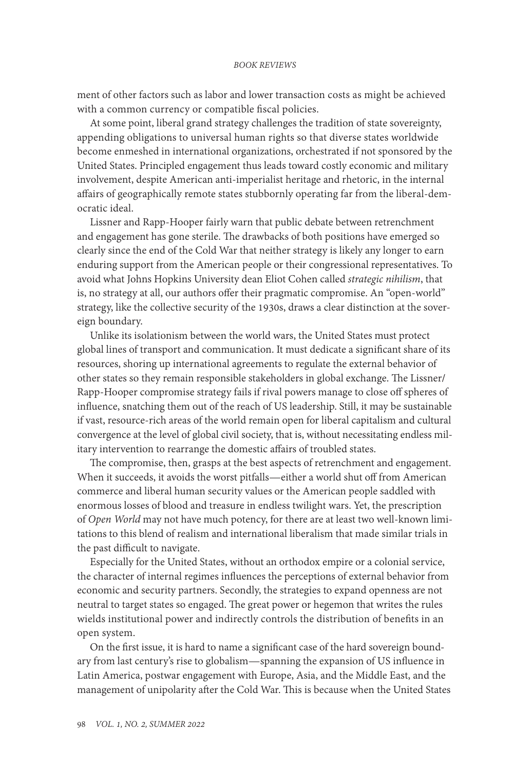<span id="page-1-0"></span>ment of other factors such as labor and lower transaction costs as might be achieved with a common currency or compatible fiscal policies.

At some point, liberal grand strategy challenges the tradition of state sovereignty, appending obligations to universal human rights so that diverse states worldwide become enmeshed in international organizations, orchestrated if not sponsored by the United States. Principled engagement thus leads toward costly economic and military involvement, despite American anti-imperialist heritage and rhetoric, in the internal affairs of geographically remote states stubbornly operating far from the liberal-democratic ideal.

Lissner and Rapp-Hooper fairly warn that public debate between retrenchment and engagement has gone sterile. The drawbacks of both positions have emerged so clearly since the end of the Cold War that neither strategy is likely any longer to earn enduring support from the American people or their congressional representatives. To avoid what Johns Hopkins University dean Eliot Cohen called *strategic nihilism*, that is, no strategy at all, our authors offer their pragmatic compromise. An "open-world" strategy, like the collective security of the 1930s, draws a clear distinction at the sovereign boundary.

Unlike its isolationism between the world wars, the United States must protect global lines of transport and communication. It must dedicate a significant share of its resources, shoring up international agreements to regulate the external behavior of other states so they remain responsible stakeholders in global exchange. The Lissner/ Rapp-Hooper compromise strategy fails if rival powers manage to close off spheres of influence, snatching them out of the reach of US leadership. Still, it may be sustainable if vast, resource-rich areas of the world remain open for liberal capitalism and cultural convergence at the level of global civil society, that is, without necessitating endless military intervention to rearrange the domestic affairs of troubled states.

The compromise, then, grasps at the best aspects of retrenchment and engagement. When it succeeds, it avoids the worst pitfalls—either a world shut off from American commerce and liberal human security values or the American people saddled with enormous losses of blood and treasure in endless twilight wars. Yet, the prescription of *Open World* may not have much potency, for there are at least two well-known limitations to this blend of realism and international liberalism that made similar trials in the past difficult to navigate.

Especially for the United States, without an orthodox empire or a colonial service, the character of internal regimes influences the perceptions of external behavior from economic and security partners. Secondly, the strategies to expand openness are not neutral to target states so engaged. The great power or hegemon that writes the rules wields institutional power and indirectly controls the distribution of benefits in an open system.

On the first issue, it is hard to name a significant case of the hard sovereign boundary from last century's rise to globalism—spanning the expansion of US influence in Latin America, postwar engagement with Europe, Asia, and the Middle East, and the management of unipolarity after the Cold War. This is because when the United States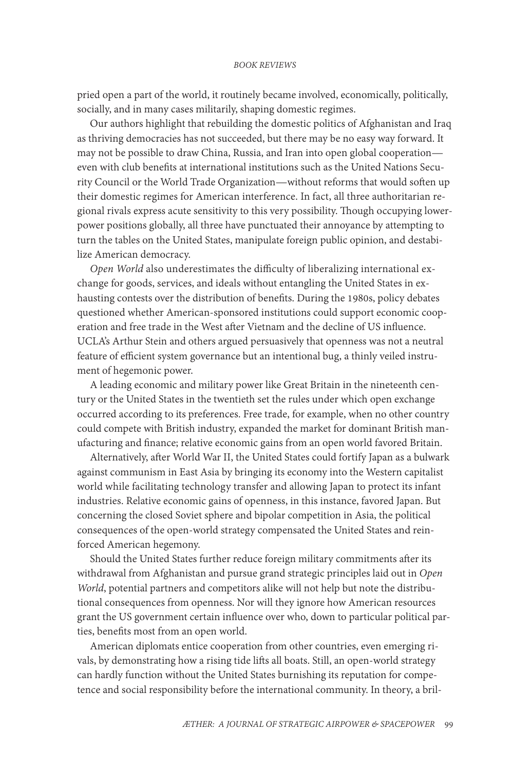pried open a part of the world, it routinely became involved, economically, politically, socially, and in many cases militarily, shaping domestic regimes.

Our authors highlight that rebuilding the domestic politics of Afghanistan and Iraq as thriving democracies has not succeeded, but there may be no easy way forward. It may not be possible to draw China, Russia, and Iran into open global cooperation even with club benefits at international institutions such as the United Nations Security Council or the World Trade Organization—without reforms that would soften up their domestic regimes for American interference. In fact, all three authoritarian regional rivals express acute sensitivity to this very possibility. Though occupying lowerpower positions globally, all three have punctuated their annoyance by attempting to turn the tables on the United States, manipulate foreign public opinion, and destabilize American democracy.

*Open World* also underestimates the difficulty of liberalizing international exchange for goods, services, and ideals without entangling the United States in exhausting contests over the distribution of benefits. During the 1980s, policy debates questioned whether American-sponsored institutions could support economic cooperation and free trade in the West after Vietnam and the decline of US influence. UCLA's Arthur Stein and others argued persuasively that openness was not a neutral feature of efficient system governance but an intentional bug, a thinly veiled instrument of hegemonic power.

A leading economic and military power like Great Britain in the nineteenth century or the United States in the twentieth set the rules under which open exchange occurred according to its preferences. Free trade, for example, when no other country could compete with British industry, expanded the market for dominant British manufacturing and finance; relative economic gains from an open world favored Britain.

Alternatively, after World War II, the United States could fortify Japan as a bulwark against communism in East Asia by bringing its economy into the Western capitalist world while facilitating technology transfer and allowing Japan to protect its infant industries. Relative economic gains of openness, in this instance, favored Japan. But concerning the closed Soviet sphere and bipolar competition in Asia, the political consequences of the open-world strategy compensated the United States and reinforced American hegemony.

Should the United States further reduce foreign military commitments after its withdrawal from Afghanistan and pursue grand strategic principles laid out in *Open World*, potential partners and competitors alike will not help but note the distributional consequences from openness. Nor will they ignore how American resources grant the US government certain influence over who, down to particular political parties, benefits most from an open world.

American diplomats entice cooperation from other countries, even emerging rivals, by demonstrating how a rising tide lifts all boats. Still, an open-world strategy can hardly function without the United States burnishing its reputation for competence and social responsibility before the international community. In theory, a bril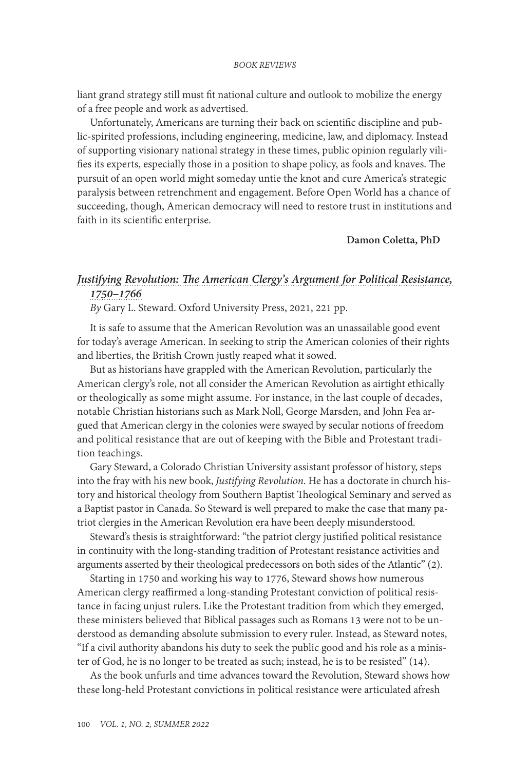liant grand strategy still must fit national culture and outlook to mobilize the energy of a free people and work as advertised.

Unfortunately, Americans are turning their back on scientific discipline and public-spirited professions, including engineering, medicine, law, and diplomacy. Instead of supporting visionary national strategy in these times, public opinion regularly vilifies its experts, especially those in a position to shape policy, as fools and knaves. The pursuit of an open world might someday untie the knot and cure America's strategic paralysis between retrenchment and engagement. Before Open World has a chance of succeeding, though, American democracy will need to restore trust in institutions and faith in its scientific enterprise.

**Damon Coletta, PhD** 

# *[Justifying Revolution: The American Clergy's Argument for Political Resistance,](#page-1-0)  [1750–1766](#page-1-0)*

*By* Gary L. Steward. Oxford University Press, 2021, 221 pp.

It is safe to assume that the American Revolution was an unassailable good event for today's average American. In seeking to strip the American colonies of their rights and liberties, the British Crown justly reaped what it sowed.

But as historians have grappled with the American Revolution, particularly the American clergy's role, not all consider the American Revolution as airtight ethically or theologically as some might assume. For instance, in the last couple of decades, notable Christian historians such as Mark Noll, George Marsden, and John Fea argued that American clergy in the colonies were swayed by secular notions of freedom and political resistance that are out of keeping with the Bible and Protestant tradition teachings.

Gary Steward, a Colorado Christian University assistant professor of history, steps into the fray with his new book, *Justifying Revolution*. He has a doctorate in church history and historical theology from Southern Baptist Theological Seminary and served as a Baptist pastor in Canada. So Steward is well prepared to make the case that many patriot clergies in the American Revolution era have been deeply misunderstood.

Steward's thesis is straightforward: "the patriot clergy justified political resistance in continuity with the long-standing tradition of Protestant resistance activities and arguments asserted by their theological predecessors on both sides of the Atlantic" (2).

Starting in 1750 and working his way to 1776, Steward shows how numerous American clergy reaffirmed a long-standing Protestant conviction of political resistance in facing unjust rulers. Like the Protestant tradition from which they emerged, these ministers believed that Biblical passages such as Romans 13 were not to be understood as demanding absolute submission to every ruler. Instead, as Steward notes, "If a civil authority abandons his duty to seek the public good and his role as a minister of God, he is no longer to be treated as such; instead, he is to be resisted" (14).

As the book unfurls and time advances toward the Revolution, Steward shows how these long-held Protestant convictions in political resistance were articulated afresh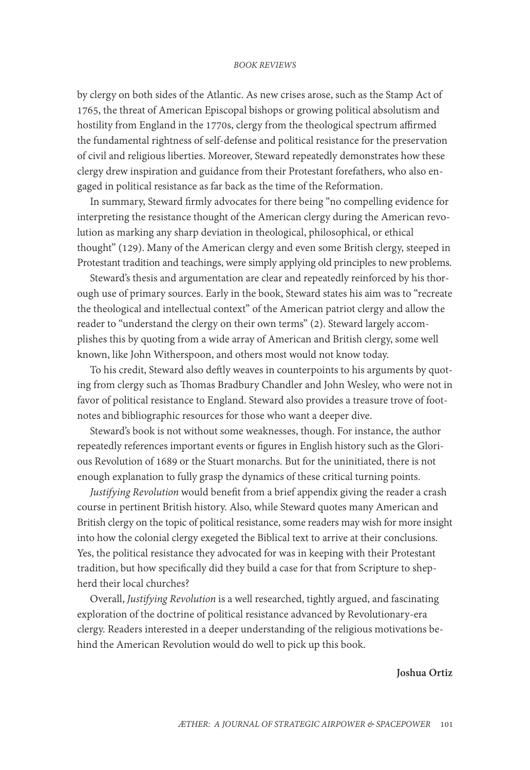by clergy on both sides of the Atlantic. As new crises arose, such as the Stamp Act of 1765, the threat of American Episcopal bishops or growing political absolutism and hostility from England in the 1770s, clergy from the theological spectrum affirmed the fundamental rightness of self-defense and political resistance for the preservation of civil and religious liberties. Moreover, Steward repeatedly demonstrates how these clergy drew inspiration and guidance from their Protestant forefathers, who also engaged in political resistance as far back as the time of the Reformation.

In summary, Steward firmly advocates for there being "no compelling evidence for interpreting the resistance thought of the American clergy during the American revolution as marking any sharp deviation in theological, philosophical, or ethical thought" (129). Many of the American clergy and even some British clergy, steeped in Protestant tradition and teachings, were simply applying old principles to new problems.

Steward's thesis and argumentation are clear and repeatedly reinforced by his thorough use of primary sources. Early in the book, Steward states his aim was to "recreate the theological and intellectual context" of the American patriot clergy and allow the reader to "understand the clergy on their own terms" (2). Steward largely accomplishes this by quoting from a wide array of American and British clergy, some well known, like John Witherspoon, and others most would not know today.

To his credit, Steward also deftly weaves in counterpoints to his arguments by quoting from clergy such as Thomas Bradbury Chandler and John Wesley, who were not in favor of political resistance to England. Steward also provides a treasure trove of footnotes and bibliographic resources for those who want a deeper dive.

Steward's book is not without some weaknesses, though. For instance, the author repeatedly references important events or figures in English history such as the Glorious Revolution of 1689 or the Stuart monarchs. But for the uninitiated, there is not enough explanation to fully grasp the dynamics of these critical turning points.

*Justifying Revolution* would benefit from a brief appendix giving the reader a crash course in pertinent British history. Also, while Steward quotes many American and British clergy on the topic of political resistance, some readers may wish for more insight into how the colonial clergy exegeted the Biblical text to arrive at their conclusions. Yes, the political resistance they advocated for was in keeping with their Protestant tradition, but how specifically did they build a case for that from Scripture to shepherd their local churches?

Overall, *Justifying Revolution* is a well researched, tightly argued, and fascinating exploration of the doctrine of political resistance advanced by Revolutionary-era clergy. Readers interested in a deeper understanding of the religious motivations behind the American Revolution would do well to pick up this book.

**Joshua Ortiz**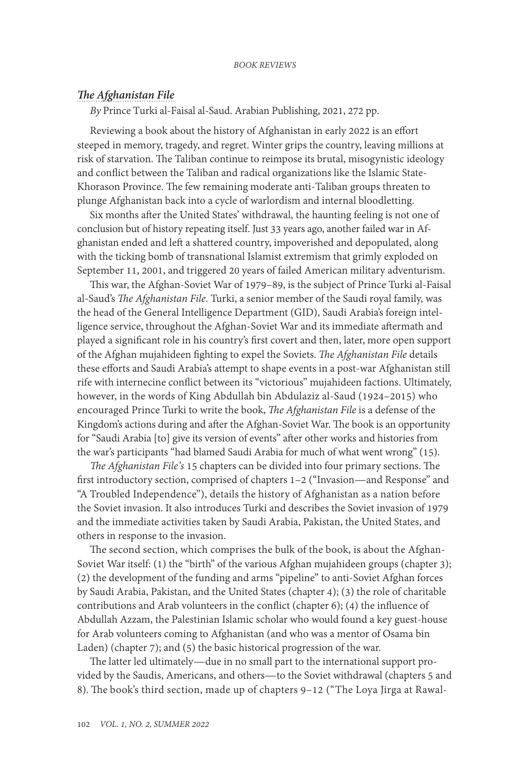### *[The Afghanistan File](#page-1-0)*

*By* Prince Turki al-Faisal al-Saud. Arabian Publishing, 2021, 272 pp.

Reviewing a book about the history of Afghanistan in early 2022 is an effort steeped in memory, tragedy, and regret. Winter grips the country, leaving millions at risk of starvation. The Taliban continue to reimpose its brutal, misogynistic ideology and conflict between the Taliban and radical organizations like the Islamic State-Khorason Province. The few remaining moderate anti-Taliban groups threaten to plunge Afghanistan back into a cycle of warlordism and internal bloodletting.

Six months after the United States' withdrawal, the haunting feeling is not one of conclusion but of history repeating itself. Just 33 years ago, another failed war in Afghanistan ended and left a shattered country, impoverished and depopulated, along with the ticking bomb of transnational Islamist extremism that grimly exploded on September 11, 2001, and triggered 20 years of failed American military adventurism.

This war, the Afghan-Soviet War of 1979–89, is the subject of Prince Turki al-Faisal al-Saud's *The Afghanistan File*. Turki, a senior member of the Saudi royal family, was the head of the General Intelligence Department (GID), Saudi Arabia's foreign intelligence service, throughout the Afghan-Soviet War and its immediate aftermath and played a significant role in his country's first covert and then, later, more open support of the Afghan mujahideen fighting to expel the Soviets. *The Afghanistan File* details these efforts and Saudi Arabia's attempt to shape events in a post-war Afghanistan still rife with internecine conflict between its "victorious" mujahideen factions. Ultimately, however, in the words of King Abdullah bin Abdulaziz al-Saud (1924–2015) who encouraged Prince Turki to write the book, *The Afghanistan File* is a defense of the Kingdom's actions during and after the Afghan-Soviet War. The book is an opportunity for "Saudi Arabia [to] give its version of events" after other works and histories from the war's participants "had blamed Saudi Arabia for much of what went wrong" (15).

*The Afghanistan File's* 15 chapters can be divided into four primary sections. The first introductory section, comprised of chapters 1–2 ("Invasion—and Response" and "A Troubled Independence"), details the history of Afghanistan as a nation before the Soviet invasion. It also introduces Turki and describes the Soviet invasion of 1979 and the immediate activities taken by Saudi Arabia, Pakistan, the United States, and others in response to the invasion.

The second section, which comprises the bulk of the book, is about the Afghan-Soviet War itself: (1) the "birth" of the various Afghan mujahideen groups (chapter 3); (2) the development of the funding and arms "pipeline" to anti-Soviet Afghan forces by Saudi Arabia, Pakistan, and the United States (chapter 4); (3) the role of charitable contributions and Arab volunteers in the conflict (chapter 6); (4) the influence of Abdullah Azzam, the Palestinian Islamic scholar who would found a key guest-house for Arab volunteers coming to Afghanistan (and who was a mentor of Osama bin Laden) (chapter 7); and (5) the basic historical progression of the war.

The latter led ultimately—due in no small part to the international support provided by the Saudis, Americans, and others—to the Soviet withdrawal (chapters 5 and 8). The book's third section, made up of chapters 9–12 ("The Loya Jirga at Rawal-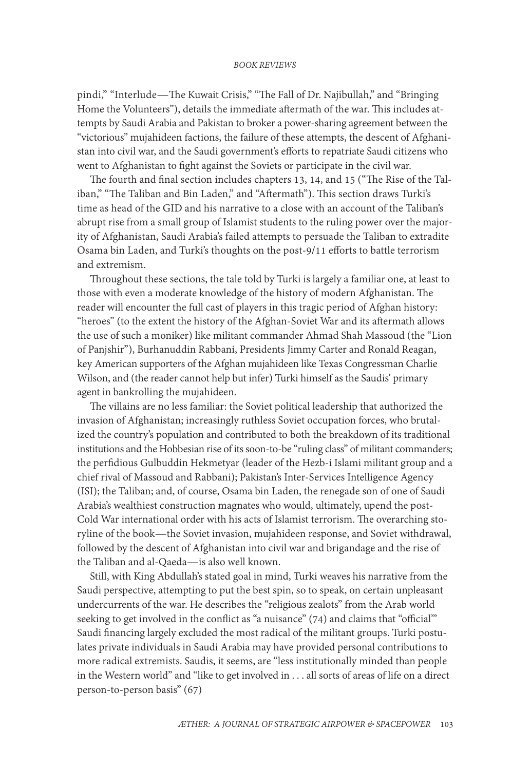pindi," "Interlude—The Kuwait Crisis," "The Fall of Dr. Najibullah," and "Bringing Home the Volunteers"), details the immediate aftermath of the war. This includes attempts by Saudi Arabia and Pakistan to broker a power-sharing agreement between the "victorious" mujahideen factions, the failure of these attempts, the descent of Afghanistan into civil war, and the Saudi government's efforts to repatriate Saudi citizens who went to Afghanistan to fight against the Soviets or participate in the civil war.

The fourth and final section includes chapters 13, 14, and 15 ("The Rise of the Taliban," "The Taliban and Bin Laden," and "Aftermath"). This section draws Turki's time as head of the GID and his narrative to a close with an account of the Taliban's abrupt rise from a small group of Islamist students to the ruling power over the majority of Afghanistan, Saudi Arabia's failed attempts to persuade the Taliban to extradite Osama bin Laden, and Turki's thoughts on the post-9/11 efforts to battle terrorism and extremism.

Throughout these sections, the tale told by Turki is largely a familiar one, at least to those with even a moderate knowledge of the history of modern Afghanistan. The reader will encounter the full cast of players in this tragic period of Afghan history: "heroes" (to the extent the history of the Afghan-Soviet War and its aftermath allows the use of such a moniker) like militant commander Ahmad Shah Massoud (the "Lion of Panjshir"), Burhanuddin Rabbani, Presidents Jimmy Carter and Ronald Reagan, key American supporters of the Afghan mujahideen like Texas Congressman Charlie Wilson, and (the reader cannot help but infer) Turki himself as the Saudis' primary agent in bankrolling the mujahideen.

The villains are no less familiar: the Soviet political leadership that authorized the invasion of Afghanistan; increasingly ruthless Soviet occupation forces, who brutalized the country's population and contributed to both the breakdown of its traditional institutions and the Hobbesian rise of its soon-to-be "ruling class" of militant commanders; the perfidious Gulbuddin Hekmetyar (leader of the Hezb-i Islami militant group and a chief rival of Massoud and Rabbani); Pakistan's Inter-Services Intelligence Agency (ISI); the Taliban; and, of course, Osama bin Laden, the renegade son of one of Saudi Arabia's wealthiest construction magnates who would, ultimately, upend the post-Cold War international order with his acts of Islamist terrorism. The overarching storyline of the book—the Soviet invasion, mujahideen response, and Soviet withdrawal, followed by the descent of Afghanistan into civil war and brigandage and the rise of the Taliban and al-Qaeda—is also well known.

Still, with King Abdullah's stated goal in mind, Turki weaves his narrative from the Saudi perspective, attempting to put the best spin, so to speak, on certain unpleasant undercurrents of the war. He describes the "religious zealots" from the Arab world seeking to get involved in the conflict as "a nuisance" (74) and claims that "official"" Saudi financing largely excluded the most radical of the militant groups. Turki postulates private individuals in Saudi Arabia may have provided personal contributions to more radical extremists. Saudis, it seems, are "less institutionally minded than people in the Western world" and "like to get involved in . . . all sorts of areas of life on a direct person-to-person basis" (67)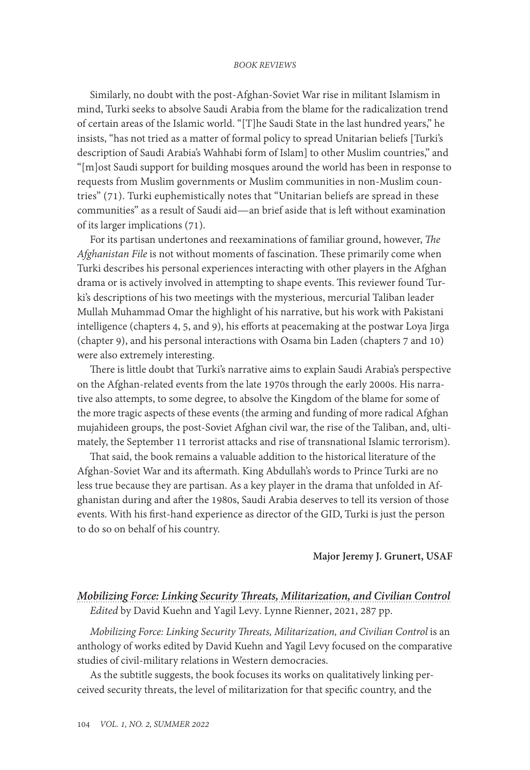Similarly, no doubt with the post-Afghan-Soviet War rise in militant Islamism in mind, Turki seeks to absolve Saudi Arabia from the blame for the radicalization trend of certain areas of the Islamic world. "[T]he Saudi State in the last hundred years," he insists, "has not tried as a matter of formal policy to spread Unitarian beliefs [Turki's description of Saudi Arabia's Wahhabi form of Islam] to other Muslim countries," and "[m]ost Saudi support for building mosques around the world has been in response to requests from Muslim governments or Muslim communities in non-Muslim countries" (71). Turki euphemistically notes that "Unitarian beliefs are spread in these communities" as a result of Saudi aid—an brief aside that is left without examination of its larger implications (71).

For its partisan undertones and reexaminations of familiar ground, however, *The Afghanistan File* is not without moments of fascination. These primarily come when Turki describes his personal experiences interacting with other players in the Afghan drama or is actively involved in attempting to shape events. This reviewer found Turki's descriptions of his two meetings with the mysterious, mercurial Taliban leader Mullah Muhammad Omar the highlight of his narrative, but his work with Pakistani intelligence (chapters 4, 5, and 9), his efforts at peacemaking at the postwar Loya Jirga (chapter 9), and his personal interactions with Osama bin Laden (chapters 7 and 10) were also extremely interesting.

There is little doubt that Turki's narrative aims to explain Saudi Arabia's perspective on the Afghan-related events from the late 1970s through the early 2000s. His narrative also attempts, to some degree, to absolve the Kingdom of the blame for some of the more tragic aspects of these events (the arming and funding of more radical Afghan mujahideen groups, the post-Soviet Afghan civil war, the rise of the Taliban, and, ultimately, the September 11 terrorist attacks and rise of transnational Islamic terrorism).

That said, the book remains a valuable addition to the historical literature of the Afghan-Soviet War and its aftermath. King Abdullah's words to Prince Turki are no less true because they are partisan. As a key player in the drama that unfolded in Afghanistan during and after the 1980s, Saudi Arabia deserves to tell its version of those events. With his first-hand experience as director of the GID, Turki is just the person to do so on behalf of his country.

### **Major Jeremy J. Grunert, USAF**

# *[Mobilizing Force: Linking Security Threats, Militarization, and Civilian Control](#page-1-0) Edited* by David Kuehn and Yagil Levy. Lynne Rienner, 2021, 287 pp.

*Mobilizing Force: Linking Security Threats, Militarization, and Civilian Control* is an anthology of works edited by David Kuehn and Yagil Levy focused on the comparative studies of civil-military relations in Western democracies.

As the subtitle suggests, the book focuses its works on qualitatively linking perceived security threats, the level of militarization for that specific country, and the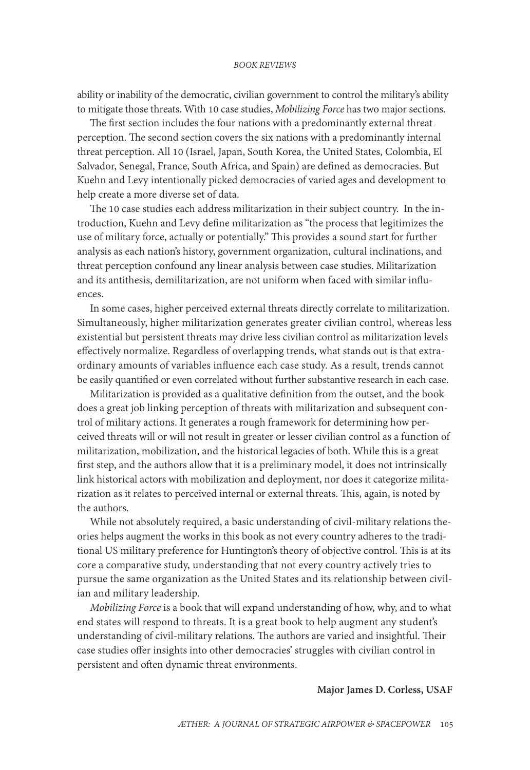ability or inability of the democratic, civilian government to control the military's ability to mitigate those threats. With 10 case studies, *Mobilizing Force* has two major sections.

The first section includes the four nations with a predominantly external threat perception. The second section covers the six nations with a predominantly internal threat perception. All 10 (Israel, Japan, South Korea, the United States, Colombia, El Salvador, Senegal, France, South Africa, and Spain) are defined as democracies. But Kuehn and Levy intentionally picked democracies of varied ages and development to help create a more diverse set of data.

The 10 case studies each address militarization in their subject country. In the introduction, Kuehn and Levy define militarization as "the process that legitimizes the use of military force, actually or potentially." This provides a sound start for further analysis as each nation's history, government organization, cultural inclinations, and threat perception confound any linear analysis between case studies. Militarization and its antithesis, demilitarization, are not uniform when faced with similar influences.

In some cases, higher perceived external threats directly correlate to militarization. Simultaneously, higher militarization generates greater civilian control, whereas less existential but persistent threats may drive less civilian control as militarization levels effectively normalize. Regardless of overlapping trends, what stands out is that extraordinary amounts of variables influence each case study. As a result, trends cannot be easily quantified or even correlated without further substantive research in each case.

Militarization is provided as a qualitative definition from the outset, and the book does a great job linking perception of threats with militarization and subsequent control of military actions. It generates a rough framework for determining how perceived threats will or will not result in greater or lesser civilian control as a function of militarization, mobilization, and the historical legacies of both. While this is a great first step, and the authors allow that it is a preliminary model, it does not intrinsically link historical actors with mobilization and deployment, nor does it categorize militarization as it relates to perceived internal or external threats. This, again, is noted by the authors.

While not absolutely required, a basic understanding of civil-military relations theories helps augment the works in this book as not every country adheres to the traditional US military preference for Huntington's theory of objective control. This is at its core a comparative study, understanding that not every country actively tries to pursue the same organization as the United States and its relationship between civilian and military leadership.

*Mobilizing Force* is a book that will expand understanding of how, why, and to what end states will respond to threats. It is a great book to help augment any student's understanding of civil-military relations. The authors are varied and insightful. Their case studies offer insights into other democracies' struggles with civilian control in persistent and often dynamic threat environments.

### **Major James D. Corless, USAF**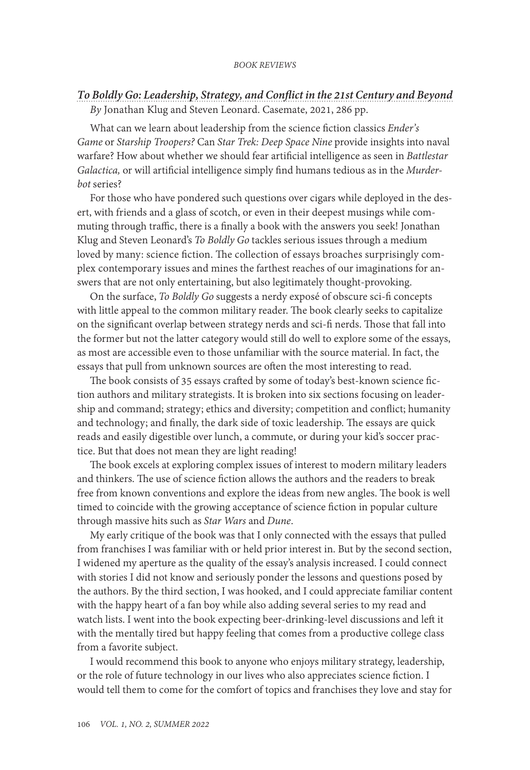# *[To Boldly Go: Leadership, Strategy, and Conflict in the 21st Century and Beyond](#page-1-0) By* Jonathan Klug and Steven Leonard. Casemate, 2021, 286 pp.

What can we learn about leadership from the science fiction classics *Ender's Game* or *Starship Troopers?* Can *Star Trek: Deep Space Nine* provide insights into naval warfare? How about whether we should fear artificial intelligence as seen in *Battlestar Galactica,* or will artificial intelligence simply find humans tedious as in the *Murderbot* series?

For those who have pondered such questions over cigars while deployed in the desert, with friends and a glass of scotch, or even in their deepest musings while commuting through traffic, there is a finally a book with the answers you seek! Jonathan Klug and Steven Leonard's *To Boldly Go* tackles serious issues through a medium loved by many: science fiction. The collection of essays broaches surprisingly complex contemporary issues and mines the farthest reaches of our imaginations for answers that are not only entertaining, but also legitimately thought-provoking.

On the surface, *To Boldly Go* suggests a nerdy exposé of obscure sci-fi concepts with little appeal to the common military reader. The book clearly seeks to capitalize on the significant overlap between strategy nerds and sci-fi nerds. Those that fall into the former but not the latter category would still do well to explore some of the essays, as most are accessible even to those unfamiliar with the source material. In fact, the essays that pull from unknown sources are often the most interesting to read.

The book consists of 35 essays crafted by some of today's best-known science fiction authors and military strategists. It is broken into six sections focusing on leadership and command; strategy; ethics and diversity; competition and conflict; humanity and technology; and finally, the dark side of toxic leadership. The essays are quick reads and easily digestible over lunch, a commute, or during your kid's soccer practice. But that does not mean they are light reading!

The book excels at exploring complex issues of interest to modern military leaders and thinkers. The use of science fiction allows the authors and the readers to break free from known conventions and explore the ideas from new angles. The book is well timed to coincide with the growing acceptance of science fiction in popular culture through massive hits such as *Star Wars* and *Dune*.

My early critique of the book was that I only connected with the essays that pulled from franchises I was familiar with or held prior interest in. But by the second section, I widened my aperture as the quality of the essay's analysis increased. I could connect with stories I did not know and seriously ponder the lessons and questions posed by the authors. By the third section, I was hooked, and I could appreciate familiar content with the happy heart of a fan boy while also adding several series to my read and watch lists. I went into the book expecting beer-drinking-level discussions and left it with the mentally tired but happy feeling that comes from a productive college class from a favorite subject.

I would recommend this book to anyone who enjoys military strategy, leadership, or the role of future technology in our lives who also appreciates science fiction. I would tell them to come for the comfort of topics and franchises they love and stay for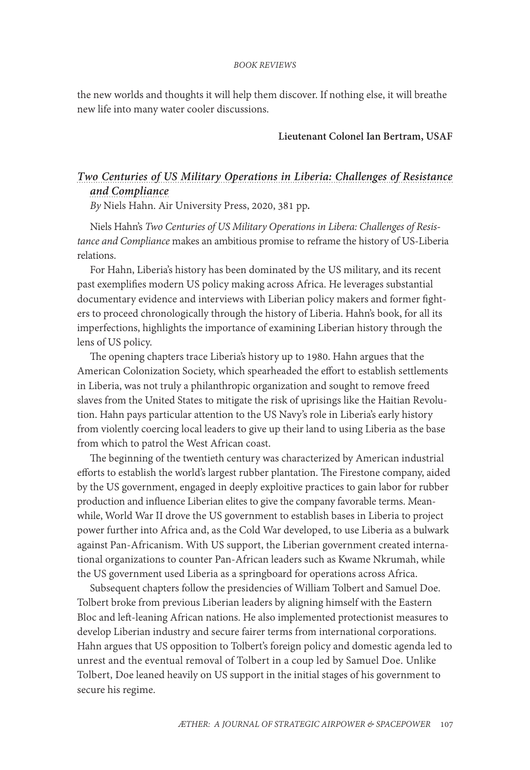the new worlds and thoughts it will help them discover. If nothing else, it will breathe new life into many water cooler discussions.

## **Lieutenant Colonel Ian Bertram, USAF**

# *[Two Centuries of US Military Operations in Liberia: Challenges of Resistance](#page-1-0)  [and Compliance](#page-1-0)*

*By* Niels Hahn. Air University Press, 2020, 381 pp*.* 

Niels Hahn's *Two Centuries of US Military Operations in Libera: Challenges of Resistance and Compliance* makes an ambitious promise to reframe the history of US-Liberia relations.

For Hahn, Liberia's history has been dominated by the US military, and its recent past exemplifies modern US policy making across Africa. He leverages substantial documentary evidence and interviews with Liberian policy makers and former fighters to proceed chronologically through the history of Liberia. Hahn's book, for all its imperfections, highlights the importance of examining Liberian history through the lens of US policy.

The opening chapters trace Liberia's history up to 1980. Hahn argues that the American Colonization Society, which spearheaded the effort to establish settlements in Liberia, was not truly a philanthropic organization and sought to remove freed slaves from the United States to mitigate the risk of uprisings like the Haitian Revolution. Hahn pays particular attention to the US Navy's role in Liberia's early history from violently coercing local leaders to give up their land to using Liberia as the base from which to patrol the West African coast.

The beginning of the twentieth century was characterized by American industrial efforts to establish the world's largest rubber plantation. The Firestone company, aided by the US government, engaged in deeply exploitive practices to gain labor for rubber production and influence Liberian elites to give the company favorable terms. Meanwhile, World War II drove the US government to establish bases in Liberia to project power further into Africa and, as the Cold War developed, to use Liberia as a bulwark against Pan-Africanism. With US support, the Liberian government created international organizations to counter Pan-African leaders such as Kwame Nkrumah, while the US government used Liberia as a springboard for operations across Africa.

Subsequent chapters follow the presidencies of William Tolbert and Samuel Doe. Tolbert broke from previous Liberian leaders by aligning himself with the Eastern Bloc and left-leaning African nations. He also implemented protectionist measures to develop Liberian industry and secure fairer terms from international corporations. Hahn argues that US opposition to Tolbert's foreign policy and domestic agenda led to unrest and the eventual removal of Tolbert in a coup led by Samuel Doe. Unlike Tolbert, Doe leaned heavily on US support in the initial stages of his government to secure his regime.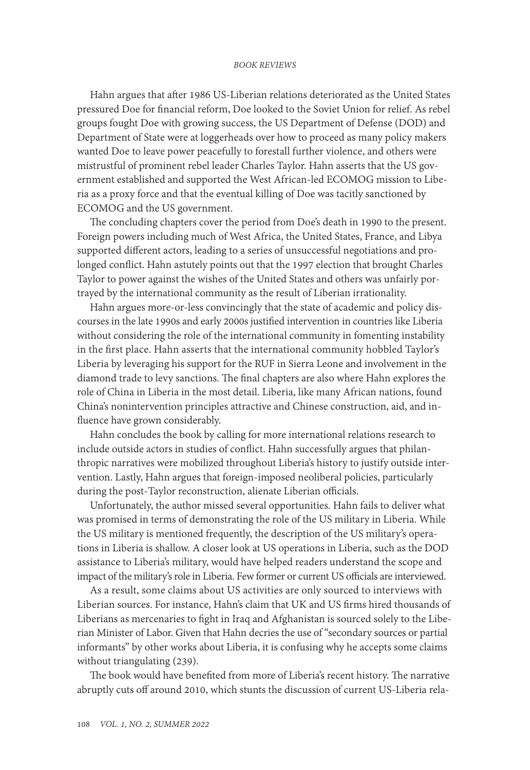Hahn argues that after 1986 US-Liberian relations deteriorated as the United States pressured Doe for financial reform, Doe looked to the Soviet Union for relief. As rebel groups fought Doe with growing success, the US Department of Defense (DOD) and Department of State were at loggerheads over how to proceed as many policy makers wanted Doe to leave power peacefully to forestall further violence, and others were mistrustful of prominent rebel leader Charles Taylor. Hahn asserts that the US government established and supported the West African-led ECOMOG mission to Liberia as a proxy force and that the eventual killing of Doe was tacitly sanctioned by ECOMOG and the US government.

The concluding chapters cover the period from Doe's death in 1990 to the present. Foreign powers including much of West Africa, the United States, France, and Libya supported different actors, leading to a series of unsuccessful negotiations and prolonged conflict. Hahn astutely points out that the 1997 election that brought Charles Taylor to power against the wishes of the United States and others was unfairly portrayed by the international community as the result of Liberian irrationality.

Hahn argues more-or-less convincingly that the state of academic and policy discourses in the late 1990s and early 2000s justified intervention in countries like Liberia without considering the role of the international community in fomenting instability in the first place. Hahn asserts that the international community hobbled Taylor's Liberia by leveraging his support for the RUF in Sierra Leone and involvement in the diamond trade to levy sanctions. The final chapters are also where Hahn explores the role of China in Liberia in the most detail. Liberia, like many African nations, found China's nonintervention principles attractive and Chinese construction, aid, and influence have grown considerably.

Hahn concludes the book by calling for more international relations research to include outside actors in studies of conflict. Hahn successfully argues that philanthropic narratives were mobilized throughout Liberia's history to justify outside intervention. Lastly, Hahn argues that foreign-imposed neoliberal policies, particularly during the post-Taylor reconstruction, alienate Liberian officials.

Unfortunately, the author missed several opportunities. Hahn fails to deliver what was promised in terms of demonstrating the role of the US military in Liberia. While the US military is mentioned frequently, the description of the US military's operations in Liberia is shallow. A closer look at US operations in Liberia, such as the DOD assistance to Liberia's military, would have helped readers understand the scope and impact of the military's role in Liberia. Few former or current US officials are interviewed.

As a result, some claims about US activities are only sourced to interviews with Liberian sources. For instance, Hahn's claim that UK and US firms hired thousands of Liberians as mercenaries to fight in Iraq and Afghanistan is sourced solely to the Liberian Minister of Labor. Given that Hahn decries the use of "secondary sources or partial informants" by other works about Liberia, it is confusing why he accepts some claims without triangulating (239).

The book would have benefited from more of Liberia's recent history. The narrative abruptly cuts off around 2010, which stunts the discussion of current US-Liberia rela-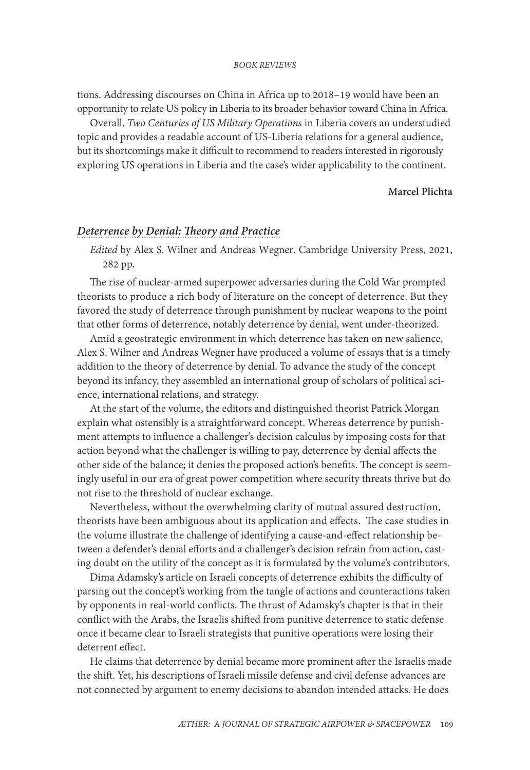tions. Addressing discourses on China in Africa up to 2018–19 would have been an opportunity to relate US policy in Liberia to its broader behavior toward China in Africa.

Overall, *Two Centuries of US Military Operations* in Liberia covers an understudied topic and provides a readable account of US-Liberia relations for a general audience, but its shortcomings make it difficult to recommend to readers interested in rigorously exploring US operations in Liberia and the case's wider applicability to the continent.

#### **Marcel Plichta**

### *[Deterrence by Denial: Theory and Practice](#page-1-0)*

*Edited* by Alex S. Wilner and Andreas Wegner. Cambridge University Press, 2021, 282 pp*.* 

The rise of nuclear-armed superpower adversaries during the Cold War prompted theorists to produce a rich body of literature on the concept of deterrence. But they favored the study of deterrence through punishment by nuclear weapons to the point that other forms of deterrence, notably deterrence by denial, went under-theorized.

Amid a geostrategic environment in which deterrence has taken on new salience, Alex S. Wilner and Andreas Wegner have produced a volume of essays that is a timely addition to the theory of deterrence by denial. To advance the study of the concept beyond its infancy, they assembled an international group of scholars of political science, international relations, and strategy.

At the start of the volume, the editors and distinguished theorist Patrick Morgan explain what ostensibly is a straightforward concept. Whereas deterrence by punishment attempts to influence a challenger's decision calculus by imposing costs for that action beyond what the challenger is willing to pay, deterrence by denial affects the other side of the balance; it denies the proposed action's benefits. The concept is seemingly useful in our era of great power competition where security threats thrive but do not rise to the threshold of nuclear exchange.

Nevertheless, without the overwhelming clarity of mutual assured destruction, theorists have been ambiguous about its application and effects. The case studies in the volume illustrate the challenge of identifying a cause-and-effect relationship between a defender's denial efforts and a challenger's decision refrain from action, casting doubt on the utility of the concept as it is formulated by the volume's contributors.

Dima Adamsky's article on Israeli concepts of deterrence exhibits the difficulty of parsing out the concept's working from the tangle of actions and counteractions taken by opponents in real-world conflicts. The thrust of Adamsky's chapter is that in their conflict with the Arabs, the Israelis shifted from punitive deterrence to static defense once it became clear to Israeli strategists that punitive operations were losing their deterrent effect.

He claims that deterrence by denial became more prominent after the Israelis made the shift. Yet, his descriptions of Israeli missile defense and civil defense advances are not connected by argument to enemy decisions to abandon intended attacks. He does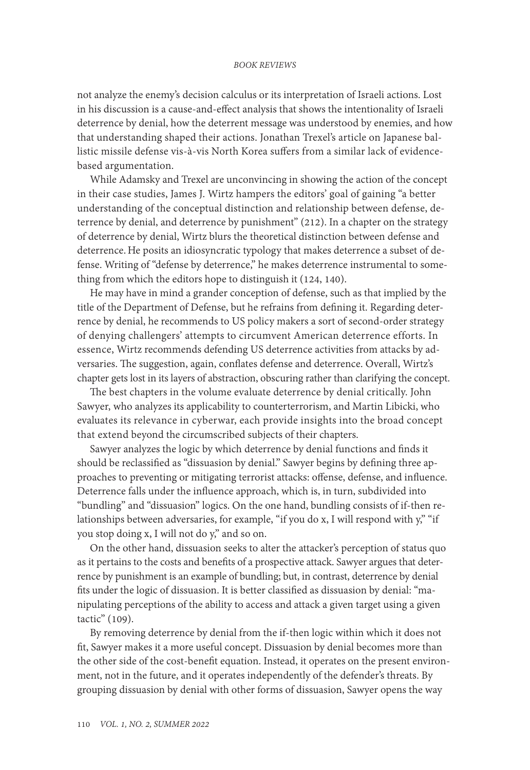not analyze the enemy's decision calculus or its interpretation of Israeli actions. Lost in his discussion is a cause-and-effect analysis that shows the intentionality of Israeli deterrence by denial, how the deterrent message was understood by enemies, and how that understanding shaped their actions. Jonathan Trexel's article on Japanese ballistic missile defense vis-à-vis North Korea suffers from a similar lack of evidencebased argumentation.

While Adamsky and Trexel are unconvincing in showing the action of the concept in their case studies, James J. Wirtz hampers the editors' goal of gaining "a better understanding of the conceptual distinction and relationship between defense, deterrence by denial, and deterrence by punishment" (212). In a chapter on the strategy of deterrence by denial, Wirtz blurs the theoretical distinction between defense and deterrence.He posits an idiosyncratic typology that makes deterrence a subset of defense. Writing of "defense by deterrence," he makes deterrence instrumental to something from which the editors hope to distinguish it (124, 140).

He may have in mind a grander conception of defense, such as that implied by the title of the Department of Defense, but he refrains from defining it. Regarding deterrence by denial, he recommends to US policy makers a sort of second-order strategy of denying challengers' attempts to circumvent American deterrence efforts. In essence, Wirtz recommends defending US deterrence activities from attacks by adversaries. The suggestion, again, conflates defense and deterrence. Overall, Wirtz's chapter gets lost in its layers of abstraction, obscuring rather than clarifying the concept.

The best chapters in the volume evaluate deterrence by denial critically. John Sawyer, who analyzes its applicability to counterterrorism, and Martin Libicki, who evaluates its relevance in cyberwar, each provide insights into the broad concept that extend beyond the circumscribed subjects of their chapters.

Sawyer analyzes the logic by which deterrence by denial functions and finds it should be reclassified as "dissuasion by denial." Sawyer begins by defining three approaches to preventing or mitigating terrorist attacks: offense, defense, and influence. Deterrence falls under the influence approach, which is, in turn, subdivided into "bundling" and "dissuasion" logics. On the one hand, bundling consists of if-then relationships between adversaries, for example, "if you do x, I will respond with y," "if you stop doing x, I will not do y," and so on.

On the other hand, dissuasion seeks to alter the attacker's perception of status quo as it pertains to the costs and benefits of a prospective attack. Sawyer argues that deterrence by punishment is an example of bundling; but, in contrast, deterrence by denial fits under the logic of dissuasion. It is better classified as dissuasion by denial: "manipulating perceptions of the ability to access and attack a given target using a given tactic" (109).

By removing deterrence by denial from the if-then logic within which it does not fit, Sawyer makes it a more useful concept. Dissuasion by denial becomes more than the other side of the cost-benefit equation. Instead, it operates on the present environment, not in the future, and it operates independently of the defender's threats. By grouping dissuasion by denial with other forms of dissuasion, Sawyer opens the way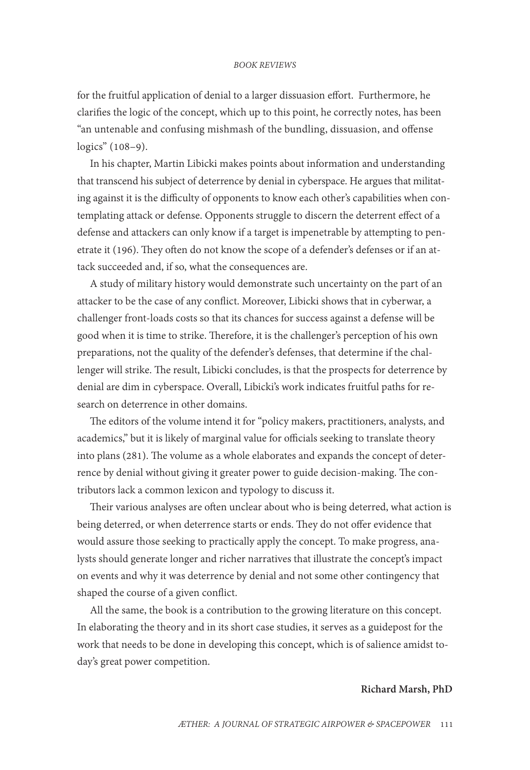for the fruitful application of denial to a larger dissuasion effort. Furthermore, he clarifies the logic of the concept, which up to this point, he correctly notes, has been "an untenable and confusing mishmash of the bundling, dissuasion, and offense logics" (108–9).

In his chapter, Martin Libicki makes points about information and understanding that transcend his subject of deterrence by denial in cyberspace. He argues that militating against it is the difficulty of opponents to know each other's capabilities when contemplating attack or defense. Opponents struggle to discern the deterrent effect of a defense and attackers can only know if a target is impenetrable by attempting to penetrate it (196). They often do not know the scope of a defender's defenses or if an attack succeeded and, if so, what the consequences are.

A study of military history would demonstrate such uncertainty on the part of an attacker to be the case of any conflict. Moreover, Libicki shows that in cyberwar, a challenger front-loads costs so that its chances for success against a defense will be good when it is time to strike. Therefore, it is the challenger's perception of his own preparations, not the quality of the defender's defenses, that determine if the challenger will strike. The result, Libicki concludes, is that the prospects for deterrence by denial are dim in cyberspace. Overall, Libicki's work indicates fruitful paths for research on deterrence in other domains.

The editors of the volume intend it for "policy makers, practitioners, analysts, and academics," but it is likely of marginal value for officials seeking to translate theory into plans (281). The volume as a whole elaborates and expands the concept of deterrence by denial without giving it greater power to guide decision-making. The contributors lack a common lexicon and typology to discuss it.

Their various analyses are often unclear about who is being deterred, what action is being deterred, or when deterrence starts or ends. They do not offer evidence that would assure those seeking to practically apply the concept. To make progress, analysts should generate longer and richer narratives that illustrate the concept's impact on events and why it was deterrence by denial and not some other contingency that shaped the course of a given conflict.

All the same, the book is a contribution to the growing literature on this concept. In elaborating the theory and in its short case studies, it serves as a guidepost for the work that needs to be done in developing this concept, which is of salience amidst today's great power competition.

### **Richard Marsh, PhD**